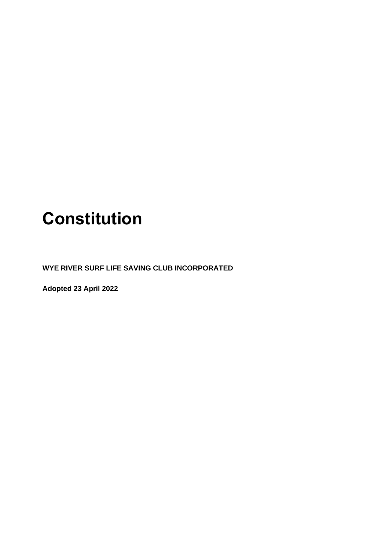# **Constitution**

**WYE RIVER SURF LIFE SAVING CLUB INCORPORATED**

**Adopted 23 April 2022**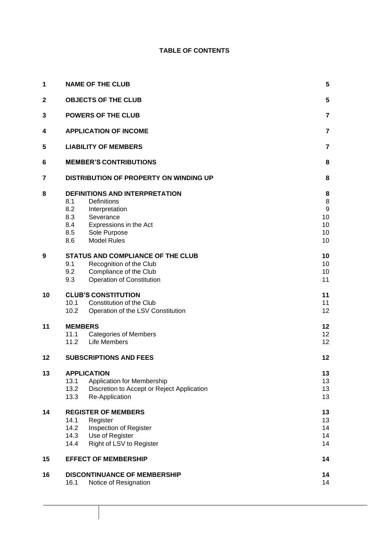### **TABLE OF CONTENTS**

| 1            | <b>NAME OF THE CLUB</b>                                                                                                                                                                       |                                                    |  |  |  |
|--------------|-----------------------------------------------------------------------------------------------------------------------------------------------------------------------------------------------|----------------------------------------------------|--|--|--|
| $\mathbf{2}$ | <b>OBJECTS OF THE CLUB</b>                                                                                                                                                                    |                                                    |  |  |  |
| 3            | <b>POWERS OF THE CLUB</b>                                                                                                                                                                     |                                                    |  |  |  |
| 4            | <b>APPLICATION OF INCOME</b>                                                                                                                                                                  |                                                    |  |  |  |
| 5            | <b>LIABILITY OF MEMBERS</b>                                                                                                                                                                   |                                                    |  |  |  |
| 6            | <b>MEMBER'S CONTRIBUTIONS</b>                                                                                                                                                                 |                                                    |  |  |  |
| 7            | DISTRIBUTION OF PROPERTY ON WINDING UP                                                                                                                                                        |                                                    |  |  |  |
| 8            | <b>DEFINITIONS AND INTERPRETATION</b><br>Definitions<br>8.1<br>8.2<br>Interpretation<br>8.3<br>Severance<br>8.4<br>Expressions in the Act<br>8.5<br>Sole Purpose<br><b>Model Rules</b><br>8.6 | 8<br>8<br>$\boldsymbol{9}$<br>10<br>10<br>10<br>10 |  |  |  |
| 9            | <b>STATUS AND COMPLIANCE OF THE CLUB</b><br>9.1<br>Recognition of the Club<br>9.2<br>Compliance of the Club<br>9.3<br><b>Operation of Constitution</b>                                        | 10<br>10<br>10<br>11                               |  |  |  |
| 10           | <b>CLUB'S CONSTITUTION</b><br>10.1<br>Constitution of the Club<br>10.2<br>Operation of the LSV Constitution                                                                                   | 11<br>11<br>12                                     |  |  |  |
| 11           | <b>MEMBERS</b><br>11.1<br><b>Categories of Members</b><br>11.2<br>Life Members                                                                                                                | 12<br>12 <sup>2</sup><br>12                        |  |  |  |
| $12 \,$      | <b>SUBSCRIPTIONS AND FEES</b>                                                                                                                                                                 | 12                                                 |  |  |  |
| 13           | <b>APPLICATION</b><br>Application for Membership<br>13.1<br>13.2<br>Discretion to Accept or Reject Application<br>13.3<br>Re-Application                                                      | 13<br>13<br>13<br>13                               |  |  |  |
| 14           | <b>REGISTER OF MEMBERS</b><br>14.1<br>Register<br>14.2<br>Inspection of Register<br>14.3<br>Use of Register<br>14.4<br>Right of LSV to Register                                               | 13<br>13<br>14<br>14<br>14                         |  |  |  |
| 15           | <b>EFFECT OF MEMBERSHIP</b>                                                                                                                                                                   |                                                    |  |  |  |
| 16           | <b>DISCONTINUANCE OF MEMBERSHIP</b><br>Notice of Resignation<br>16.1                                                                                                                          | 14<br>14                                           |  |  |  |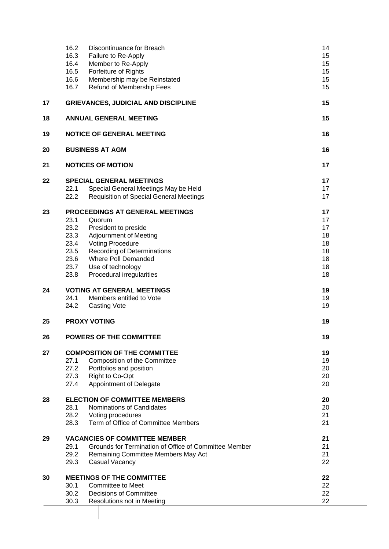|    | 16.2<br>Discontinuance for Breach<br>16.3<br>Failure to Re-Apply<br>16.4<br>Member to Re-Apply<br>16.5<br>Forfeiture of Rights<br>16.6<br>Membership may be Reinstated<br>16.7<br>Refund of Membership Fees                                                                                                         | 14<br>15<br>15<br>15<br>15<br>15                   |  |
|----|---------------------------------------------------------------------------------------------------------------------------------------------------------------------------------------------------------------------------------------------------------------------------------------------------------------------|----------------------------------------------------|--|
| 17 | <b>GRIEVANCES, JUDICIAL AND DISCIPLINE</b>                                                                                                                                                                                                                                                                          | 15                                                 |  |
| 18 | <b>ANNUAL GENERAL MEETING</b>                                                                                                                                                                                                                                                                                       | 15                                                 |  |
| 19 | <b>NOTICE OF GENERAL MEETING</b>                                                                                                                                                                                                                                                                                    | 16                                                 |  |
| 20 | <b>BUSINESS AT AGM</b>                                                                                                                                                                                                                                                                                              | 16                                                 |  |
| 21 | <b>NOTICES OF MOTION</b>                                                                                                                                                                                                                                                                                            | 17                                                 |  |
| 22 | <b>SPECIAL GENERAL MEETINGS</b><br>22.1<br>Special General Meetings May be Held<br>22.2<br><b>Requisition of Special General Meetings</b>                                                                                                                                                                           | 17<br>17<br>17                                     |  |
| 23 | PROCEEDINGS AT GENERAL MEETINGS<br>23.1<br>Quorum<br>23.2<br>President to preside<br>23.3<br><b>Adjournment of Meeting</b><br>23.4<br><b>Voting Procedure</b><br>23.5<br><b>Recording of Determinations</b><br>23.6<br><b>Where Poll Demanded</b><br>23.7<br>Use of technology<br>23.8<br>Procedural irregularities | 17<br>17<br>17<br>18<br>18<br>18<br>18<br>18<br>18 |  |
| 24 | <b>VOTING AT GENERAL MEETINGS</b><br>24.1<br>Members entitled to Vote<br>24.2<br><b>Casting Vote</b>                                                                                                                                                                                                                | 19<br>19<br>19                                     |  |
| 25 | <b>PROXY VOTING</b>                                                                                                                                                                                                                                                                                                 |                                                    |  |
| 26 | <b>POWERS OF THE COMMITTEE</b>                                                                                                                                                                                                                                                                                      | 19                                                 |  |
| 27 | <b>COMPOSITION OF THE COMMITTEE</b><br>27.1<br>Composition of the Committee<br>27.2<br>Portfolios and position<br>27.3<br>Right to Co-Opt<br>Appointment of Delegate<br>27.4                                                                                                                                        | 19<br>19<br>20<br>20<br>20                         |  |
| 28 | <b>ELECTION OF COMMITTEE MEMBERS</b><br>28.1<br>Nominations of Candidates<br>28.2<br>Voting procedures<br>28.3<br>Term of Office of Committee Members                                                                                                                                                               | 20<br>20<br>21<br>21                               |  |
| 29 | <b>VACANCIES OF COMMITTEE MEMBER</b><br>Grounds for Termination of Office of Committee Member<br>29.1<br>29.2<br>Remaining Committee Members May Act<br>29.3<br>Casual Vacancy                                                                                                                                      | 21<br>21<br>21<br>22                               |  |
| 30 | <b>MEETINGS OF THE COMMITTEE</b><br>30.1<br><b>Committee to Meet</b><br>30.2<br><b>Decisions of Committee</b><br>30.3<br>Resolutions not in Meeting                                                                                                                                                                 | 22<br>22<br>22<br>22                               |  |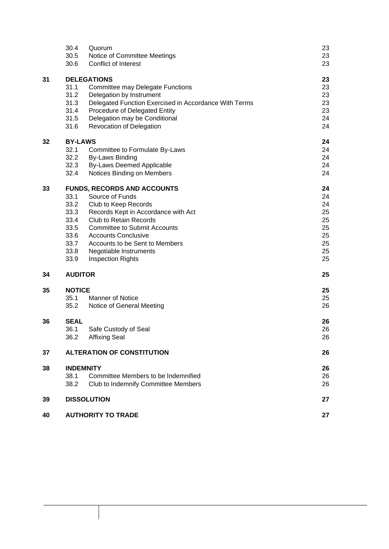|    | 30.4                               | Quorum                                                | 23 |
|----|------------------------------------|-------------------------------------------------------|----|
|    | 30.5                               | Notice of Committee Meetings                          | 23 |
|    | 30.6                               | Conflict of Interest                                  | 23 |
| 31 | <b>DELEGATIONS</b>                 |                                                       |    |
|    | 31.1                               | <b>Committee may Delegate Functions</b>               | 23 |
|    | 31.2                               | Delegation by Instrument                              | 23 |
|    | 31.3                               | Delegated Function Exercised in Accordance With Terms | 23 |
|    | 31.4                               | Procedure of Delegated Entity                         | 23 |
|    | 31.5                               | Delegation may be Conditional                         | 24 |
|    | 31.6                               | Revocation of Delegation                              | 24 |
| 32 | <b>BY-LAWS</b>                     |                                                       |    |
|    | 32.1                               | Committee to Formulate By-Laws                        | 24 |
|    | 32.2                               | <b>By-Laws Binding</b>                                | 24 |
|    | 32.3                               | <b>By-Laws Deemed Applicable</b>                      | 24 |
|    | 32.4                               | Notices Binding on Members                            | 24 |
| 33 | <b>FUNDS, RECORDS AND ACCOUNTS</b> |                                                       |    |
|    | 33.1                               | Source of Funds                                       | 24 |
|    | 33.2                               | Club to Keep Records                                  | 24 |
|    | 33.3                               | Records Kept in Accordance with Act                   | 25 |
|    | 33.4                               | <b>Club to Retain Records</b>                         | 25 |
|    | 33.5                               | <b>Committee to Submit Accounts</b>                   | 25 |
|    | 33.6                               | <b>Accounts Conclusive</b>                            | 25 |
|    | 33.7                               | Accounts to be Sent to Members                        | 25 |
|    | 33.8                               | Negotiable Instruments                                | 25 |
|    | 33.9                               | <b>Inspection Rights</b>                              | 25 |
| 34 | <b>AUDITOR</b>                     |                                                       | 25 |
| 35 | <b>NOTICE</b>                      |                                                       | 25 |
|    | 35.1                               | <b>Manner of Notice</b>                               | 25 |
|    | 35.2                               | Notice of General Meeting                             | 26 |
| 36 | <b>SEAL</b>                        |                                                       | 26 |
|    | 36.1                               | Safe Custody of Seal                                  | 26 |
|    | 36.2                               | <b>Affixing Seal</b>                                  | 26 |
| 37 |                                    | <b>ALTERATION OF CONSTITUTION</b>                     | 26 |
| 38 | <b>INDEMNITY</b>                   |                                                       |    |
|    | 38.1                               | Committee Members to be Indemnified                   | 26 |
|    | 38.2                               | Club to Indemnify Committee Members                   | 26 |
| 39 |                                    | <b>DISSOLUTION</b>                                    | 27 |
| 40 |                                    | <b>AUTHORITY TO TRADE</b>                             | 27 |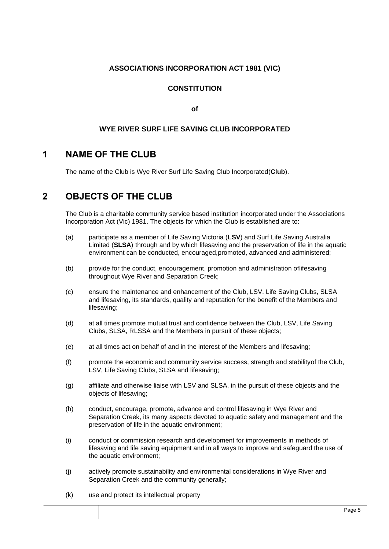### **ASSOCIATIONS INCORPORATION ACT 1981 (VIC)**

### **CONSTITUTION**

**of**

### **WYE RIVER SURF LIFE SAVING CLUB INCORPORATED**

# <span id="page-4-0"></span>**1 NAME OF THE CLUB**

The name of the Club is Wye River Surf Life Saving Club Incorporated(**Club**).

# <span id="page-4-1"></span>**2 OBJECTS OF THE CLUB**

The Club is a charitable community service based institution incorporated under the Associations Incorporation Act (Vic) 1981. The objects for which the Club is established are to:

- (a) participate as a member of Life Saving Victoria (**LSV**) and Surf Life Saving Australia Limited (**SLSA**) through and by which lifesaving and the preservation of life in the aquatic environment can be conducted, encouraged,promoted, advanced and administered;
- (b) provide for the conduct, encouragement, promotion and administration oflifesaving throughout Wye River and Separation Creek;
- (c) ensure the maintenance and enhancement of the Club, LSV, Life Saving Clubs, SLSA and lifesaving, its standards, quality and reputation for the benefit of the Members and lifesaving;
- (d) at all times promote mutual trust and confidence between the Club, LSV, Life Saving Clubs, SLSA, RLSSA and the Members in pursuit of these objects;
- (e) at all times act on behalf of and in the interest of the Members and lifesaving;
- (f) promote the economic and community service success, strength and stabilityof the Club, LSV, Life Saving Clubs, SLSA and lifesaving;
- (g) affiliate and otherwise liaise with LSV and SLSA, in the pursuit of these objects and the objects of lifesaving;
- (h) conduct, encourage, promote, advance and control lifesaving in Wye River and Separation Creek, its many aspects devoted to aquatic safety and management and the preservation of life in the aquatic environment;
- (i) conduct or commission research and development for improvements in methods of lifesaving and life saving equipment and in all ways to improve and safeguard the use of the aquatic environment;
- (j) actively promote sustainability and environmental considerations in Wye River and Separation Creek and the community generally;
- (k) use and protect its intellectual property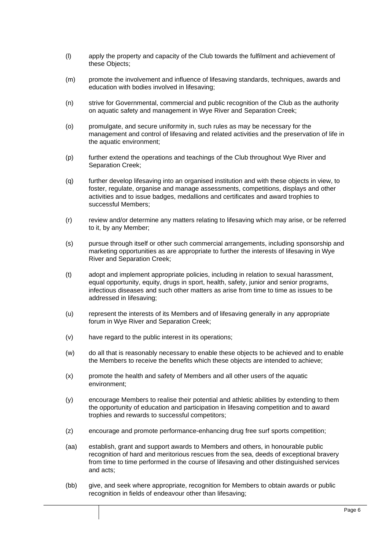- (l) apply the property and capacity of the Club towards the fulfilment and achievement of these Objects;
- (m) promote the involvement and influence of lifesaving standards, techniques, awards and education with bodies involved in lifesaving;
- (n) strive for Governmental, commercial and public recognition of the Club as the authority on aquatic safety and management in Wye River and Separation Creek;
- (o) promulgate, and secure uniformity in, such rules as may be necessary for the management and control of lifesaving and related activities and the preservation of life in the aquatic environment;
- (p) further extend the operations and teachings of the Club throughout Wye River and Separation Creek;
- (q) further develop lifesaving into an organised institution and with these objects in view, to foster, regulate, organise and manage assessments, competitions, displays and other activities and to issue badges, medallions and certificates and award trophies to successful Members;
- (r) review and/or determine any matters relating to lifesaving which may arise, or be referred to it, by any Member;
- (s) pursue through itself or other such commercial arrangements, including sponsorship and marketing opportunities as are appropriate to further the interests of lifesaving in Wye River and Separation Creek;
- (t) adopt and implement appropriate policies, including in relation to sexual harassment, equal opportunity, equity, drugs in sport, health, safety, junior and senior programs, infectious diseases and such other matters as arise from time to time as issues to be addressed in lifesaving;
- (u) represent the interests of its Members and of lifesaving generally in any appropriate forum in Wye River and Separation Creek;
- (v) have regard to the public interest in its operations;
- (w) do all that is reasonably necessary to enable these objects to be achieved and to enable the Members to receive the benefits which these objects are intended to achieve;
- (x) promote the health and safety of Members and all other users of the aquatic environment;
- (y) encourage Members to realise their potential and athletic abilities by extending to them the opportunity of education and participation in lifesaving competition and to award trophies and rewards to successful competitors;
- (z) encourage and promote performance-enhancing drug free surf sports competition;
- (aa) establish, grant and support awards to Members and others, in honourable public recognition of hard and meritorious rescues from the sea, deeds of exceptional bravery from time to time performed in the course of lifesaving and other distinguished services and acts;
- (bb) give, and seek where appropriate, recognition for Members to obtain awards or public recognition in fields of endeavour other than lifesaving;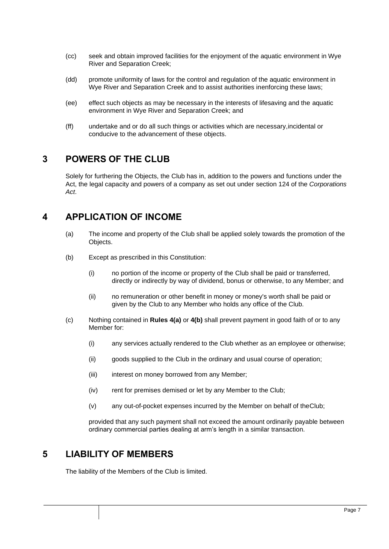- (cc) seek and obtain improved facilities for the enjoyment of the aquatic environment in Wye River and Separation Creek;
- (dd) promote uniformity of laws for the control and regulation of the aquatic environment in Wye River and Separation Creek and to assist authorities inenforcing these laws;
- (ee) effect such objects as may be necessary in the interests of lifesaving and the aquatic environment in Wye River and Separation Creek; and
- (ff) undertake and or do all such things or activities which are necessary,incidental or conducive to the advancement of these objects.

### <span id="page-6-0"></span>**3 POWERS OF THE CLUB**

Solely for furthering the Objects, the Club has in, addition to the powers and functions under the Act, the legal capacity and powers of a company as set out under section 124 of the *Corporations Act*.

# <span id="page-6-3"></span><span id="page-6-1"></span>**4 APPLICATION OF INCOME**

- (a) The income and property of the Club shall be applied solely towards the promotion of the Objects.
- <span id="page-6-4"></span>(b) Except as prescribed in this Constitution:
	- (i) no portion of the income or property of the Club shall be paid or transferred, directly or indirectly by way of dividend, bonus or otherwise, to any Member; and
	- (ii) no remuneration or other benefit in money or money's worth shall be paid or given by the Club to any Member who holds any office of the Club.
- (c) Nothing contained in **Rules [4\(a\)](#page-6-3)** or **[4\(b\)](#page-6-4)** shall prevent payment in good faith of or to any Member for:
	- (i) any services actually rendered to the Club whether as an employee or otherwise;
	- (ii) goods supplied to the Club in the ordinary and usual course of operation;
	- (iii) interest on money borrowed from any Member;
	- (iv) rent for premises demised or let by any Member to the Club;
	- (v) any out-of-pocket expenses incurred by the Member on behalf of theClub;

provided that any such payment shall not exceed the amount ordinarily payable between ordinary commercial parties dealing at arm's length in a similar transaction.

### <span id="page-6-2"></span>**5 LIABILITY OF MEMBERS**

The liability of the Members of the Club is limited.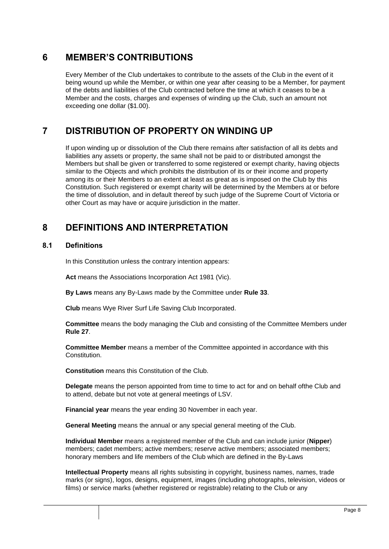# <span id="page-7-0"></span>**6 MEMBER'S CONTRIBUTIONS**

Every Member of the Club undertakes to contribute to the assets of the Club in the event of it being wound up while the Member, or within one year after ceasing to be a Member, for payment of the debts and liabilities of the Club contracted before the time at which it ceases to be a Member and the costs, charges and expenses of winding up the Club, such an amount not exceeding one dollar (\$1.00).

# <span id="page-7-1"></span>**7 DISTRIBUTION OF PROPERTY ON WINDING UP**

If upon winding up or dissolution of the Club there remains after satisfaction of all its debts and liabilities any assets or property, the same shall not be paid to or distributed amongst the Members but shall be given or transferred to some registered or exempt charity, having objects similar to the Objects and which prohibits the distribution of its or their income and property among its or their Members to an extent at least as great as is imposed on the Club by this Constitution. Such registered or exempt charity will be determined by the Members at or before the time of dissolution, and in default thereof by such judge of the Supreme Court of Victoria or other Court as may have or acquire jurisdiction in the matter.

# <span id="page-7-2"></span>**8 DEFINITIONS AND INTERPRETATION**

### <span id="page-7-3"></span>**8.1 Definitions**

In this Constitution unless the contrary intention appears:

**Act** means the Associations Incorporation Act 1981 (Vic).

**By Laws** means any By-Laws made by the Committee under **Rule 33**.

**Club** means Wye River Surf Life Saving Club Incorporated.

**Committee** means the body managing the Club and consisting of the Committee Members under **Rule [27](#page-18-5)**.

**Committee Member** means a member of the Committee appointed in accordance with this Constitution.

**Constitution** means this Constitution of the Club.

**Delegate** means the person appointed from time to time to act for and on behalf ofthe Club and to attend, debate but not vote at general meetings of LSV.

**Financial year** means the year ending 30 November in each year.

**General Meeting** means the annual or any special general meeting of the Club.

**Individual Member** means a registered member of the Club and can include junior (**Nipper**) members; cadet members; active members; reserve active members; associated members; honorary members and life members of the Club which are defined in the By-Laws

**Intellectual Property** means all rights subsisting in copyright, business names, names, trade marks (or signs), logos, designs, equipment, images (including photographs, television, videos or films) or service marks (whether registered or registrable) relating to the Club or any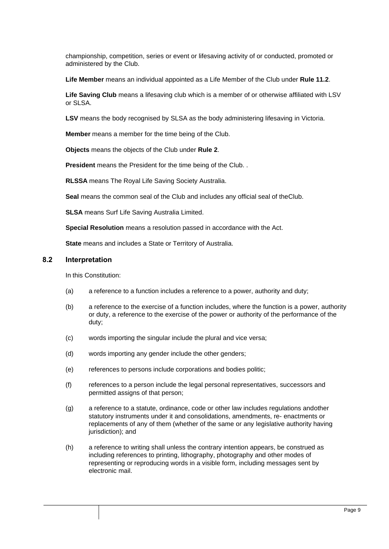championship, competition, series or event or lifesaving activity of or conducted, promoted or administered by the Club.

**Life Member** means an individual appointed as a Life Member of the Club under **Rule 11.2**.

**Life Saving Club** means a lifesaving club which is a member of or otherwise affiliated with LSV or SLSA.

**LSV** means the body recognised by SLSA as the body administering lifesaving in Victoria.

**Member** means a member for the time being of the Club.

**Objects** means the objects of the Club under **Rule 2**.

**President** means the President for the time being of the Club. .

**RLSSA** means The Royal Life Saving Society Australia.

**Seal** means the common seal of the Club and includes any official seal of theClub.

**SLSA** means Surf Life Saving Australia Limited.

**Special Resolution** means a resolution passed in accordance with the Act.

**State** means and includes a State or Territory of Australia.

### <span id="page-8-0"></span>**8.2 Interpretation**

In this Constitution:

- (a) a reference to a function includes a reference to a power, authority and duty;
- (b) a reference to the exercise of a function includes, where the function is a power, authority or duty, a reference to the exercise of the power or authority of the performance of the duty;
- (c) words importing the singular include the plural and vice versa;
- (d) words importing any gender include the other genders;
- (e) references to persons include corporations and bodies politic;
- (f) references to a person include the legal personal representatives, successors and permitted assigns of that person;
- (g) a reference to a statute, ordinance, code or other law includes regulations andother statutory instruments under it and consolidations, amendments, re- enactments or replacements of any of them (whether of the same or any legislative authority having jurisdiction); and
- (h) a reference to writing shall unless the contrary intention appears, be construed as including references to printing, lithography, photography and other modes of representing or reproducing words in a visible form, including messages sent by electronic mail.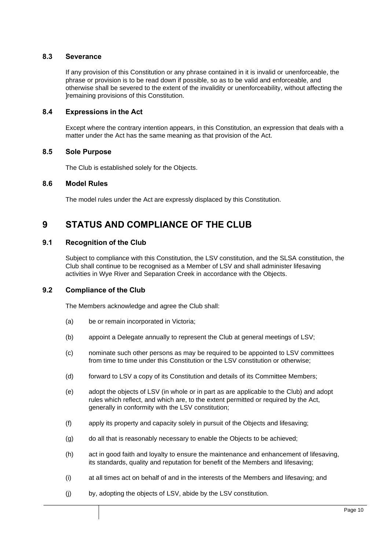### <span id="page-9-0"></span>**8.3 Severance**

If any provision of this Constitution or any phrase contained in it is invalid or unenforceable, the phrase or provision is to be read down if possible, so as to be valid and enforceable, and otherwise shall be severed to the extent of the invalidity or unenforceability, without affecting the ]remaining provisions of this Constitution.

### <span id="page-9-1"></span>**8.4 Expressions in the Act**

Except where the contrary intention appears, in this Constitution, an expression that deals with a matter under the Act has the same meaning as that provision of the Act.

#### <span id="page-9-2"></span>**8.5 Sole Purpose**

The Club is established solely for the Objects.

#### <span id="page-9-3"></span>**8.6 Model Rules**

The model rules under the Act are expressly displaced by this Constitution.

# <span id="page-9-4"></span>**9 STATUS AND COMPLIANCE OF THE CLUB**

### <span id="page-9-5"></span>**9.1 Recognition of the Club**

Subject to compliance with this Constitution, the LSV constitution, and the SLSA constitution, the Club shall continue to be recognised as a Member of LSV and shall administer lifesaving activities in Wye River and Separation Creek in accordance with the Objects.

### <span id="page-9-6"></span>**9.2 Compliance of the Club**

The Members acknowledge and agree the Club shall:

- (a) be or remain incorporated in Victoria;
- (b) appoint a Delegate annually to represent the Club at general meetings of LSV;
- (c) nominate such other persons as may be required to be appointed to LSV committees from time to time under this Constitution or the LSV constitution or otherwise;
- (d) forward to LSV a copy of its Constitution and details of its Committee Members;
- (e) adopt the objects of LSV (in whole or in part as are applicable to the Club) and adopt rules which reflect, and which are, to the extent permitted or required by the Act, generally in conformity with the LSV constitution;
- (f) apply its property and capacity solely in pursuit of the Objects and lifesaving;
- (g) do all that is reasonably necessary to enable the Objects to be achieved;
- (h) act in good faith and loyalty to ensure the maintenance and enhancement of lifesaving, its standards, quality and reputation for benefit of the Members and lifesaving;
- (i) at all times act on behalf of and in the interests of the Members and lifesaving; and
- (j) by, adopting the objects of LSV, abide by the LSV constitution.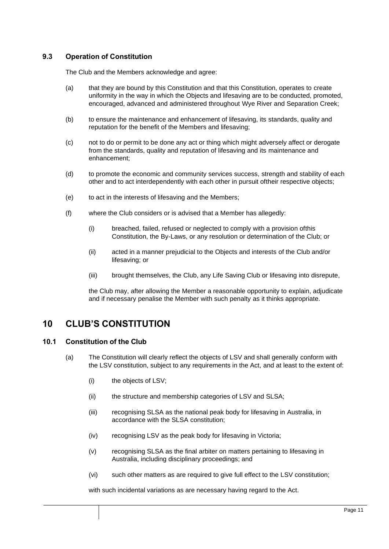### <span id="page-10-0"></span>**9.3 Operation of Constitution**

The Club and the Members acknowledge and agree:

- (a) that they are bound by this Constitution and that this Constitution, operates to create uniformity in the way in which the Objects and lifesaving are to be conducted, promoted, encouraged, advanced and administered throughout Wye River and Separation Creek;
- (b) to ensure the maintenance and enhancement of lifesaving, its standards, quality and reputation for the benefit of the Members and lifesaving;
- (c) not to do or permit to be done any act or thing which might adversely affect or derogate from the standards, quality and reputation of lifesaving and its maintenance and enhancement;
- (d) to promote the economic and community services success, strength and stability of each other and to act interdependently with each other in pursuit oftheir respective objects;
- (e) to act in the interests of lifesaving and the Members;
- (f) where the Club considers or is advised that a Member has allegedly:
	- (i) breached, failed, refused or neglected to comply with a provision ofthis Constitution, the By-Laws, or any resolution or determination of the Club; or
	- (ii) acted in a manner prejudicial to the Objects and interests of the Club and/or lifesaving; or
	- (iii) brought themselves, the Club, any Life Saving Club or lifesaving into disrepute,

the Club may, after allowing the Member a reasonable opportunity to explain, adjudicate and if necessary penalise the Member with such penalty as it thinks appropriate.

# <span id="page-10-1"></span>**10 CLUB'S CONSTITUTION**

### <span id="page-10-2"></span>**10.1 Constitution of the Club**

- (a) The Constitution will clearly reflect the objects of LSV and shall generally conform with the LSV constitution, subject to any requirements in the Act, and at least to the extent of:
	- (i) the objects of LSV;
	- (ii) the structure and membership categories of LSV and SLSA;
	- (iii) recognising SLSA as the national peak body for lifesaving in Australia, in accordance with the SLSA constitution;
	- (iv) recognising LSV as the peak body for lifesaving in Victoria;
	- (v) recognising SLSA as the final arbiter on matters pertaining to lifesaving in Australia, including disciplinary proceedings; and
	- (vi) such other matters as are required to give full effect to the LSV constitution;

with such incidental variations as are necessary having regard to the Act.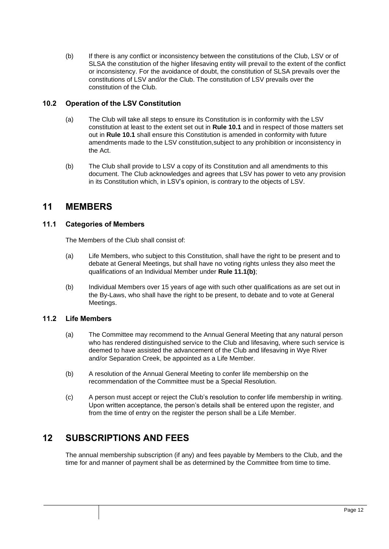(b) If there is any conflict or inconsistency between the constitutions of the Club, LSV or of SLSA the constitution of the higher lifesaving entity will prevail to the extent of the conflict or inconsistency. For the avoidance of doubt, the constitution of SLSA prevails over the constitutions of LSV and/or the Club. The constitution of LSV prevails over the constitution of the Club.

### <span id="page-11-0"></span>**10.2 Operation of the LSV Constitution**

- (a) The Club will take all steps to ensure its Constitution is in conformity with the LSV constitution at least to the extent set out in **Rule 10.1** and in respect of those matters set out in **Rule 10.1** shall ensure this Constitution is amended in conformity with future amendments made to the LSV constitution,subject to any prohibition or inconsistency in the Act.
- (b) The Club shall provide to LSV a copy of its Constitution and all amendments to this document. The Club acknowledges and agrees that LSV has power to veto any provision in its Constitution which, in LSV's opinion, is contrary to the objects of LSV.

### <span id="page-11-1"></span>**11 MEMBERS**

### <span id="page-11-2"></span>**11.1 Categories of Members**

The Members of the Club shall consist of:

- (a) Life Members, who subject to this Constitution, shall have the right to be present and to debate at General Meetings, but shall have no voting rights unless they also meet the qualifications of an Individual Member under **Rule 11.1(b)**;
- (b) Individual Members over 15 years of age with such other qualifications as are set out in the By-Laws, who shall have the right to be present, to debate and to vote at General Meetings.

### <span id="page-11-3"></span>**11.2 Life Members**

- (a) The Committee may recommend to the Annual General Meeting that any natural person who has rendered distinguished service to the Club and lifesaving, where such service is deemed to have assisted the advancement of the Club and lifesaving in Wye River and/or Separation Creek, be appointed as a Life Member.
- (b) A resolution of the Annual General Meeting to confer life membership on the recommendation of the Committee must be a Special Resolution.
- (c) A person must accept or reject the Club's resolution to confer life membership in writing. Upon written acceptance, the person's details shall be entered upon the register, and from the time of entry on the register the person shall be a Life Member.

# <span id="page-11-4"></span>**12 SUBSCRIPTIONS AND FEES**

The annual membership subscription (if any) and fees payable by Members to the Club, and the time for and manner of payment shall be as determined by the Committee from time to time.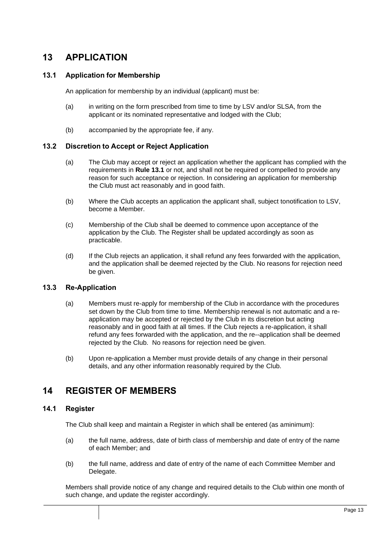# <span id="page-12-0"></span>**13 APPLICATION**

### <span id="page-12-1"></span>**13.1 Application for Membership**

An application for membership by an individual (applicant) must be:

- (a) in writing on the form prescribed from time to time by LSV and/or SLSA, from the applicant or its nominated representative and lodged with the Club;
- (b) accompanied by the appropriate fee, if any.

### <span id="page-12-2"></span>**13.2 Discretion to Accept or Reject Application**

- (a) The Club may accept or reject an application whether the applicant has complied with the requirements in **Rule 13.1** or not, and shall not be required or compelled to provide any reason for such acceptance or rejection. In considering an application for membership the Club must act reasonably and in good faith.
- (b) Where the Club accepts an application the applicant shall, subject tonotification to LSV, become a Member.
- (c) Membership of the Club shall be deemed to commence upon acceptance of the application by the Club. The Register shall be updated accordingly as soon as practicable.
- (d) If the Club rejects an application, it shall refund any fees forwarded with the application, and the application shall be deemed rejected by the Club. No reasons for rejection need be given.

### <span id="page-12-3"></span>**13.3 Re-Application**

- (a) Members must re-apply for membership of the Club in accordance with the procedures set down by the Club from time to time. Membership renewal is not automatic and a reapplication may be accepted or rejected by the Club in its discretion but acting reasonably and in good faith at all times. If the Club rejects a re-application, it shall refund any fees forwarded with the application, and the re--application shall be deemed rejected by the Club. No reasons for rejection need be given.
- (b) Upon re-application a Member must provide details of any change in their personal details, and any other information reasonably required by the Club.

### <span id="page-12-4"></span>**14 REGISTER OF MEMBERS**

### <span id="page-12-5"></span>**14.1 Register**

The Club shall keep and maintain a Register in which shall be entered (as aminimum):

- (a) the full name, address, date of birth class of membership and date of entry of the name of each Member; and
- (b) the full name, address and date of entry of the name of each Committee Member and Delegate.

Members shall provide notice of any change and required details to the Club within one month of such change, and update the register accordingly.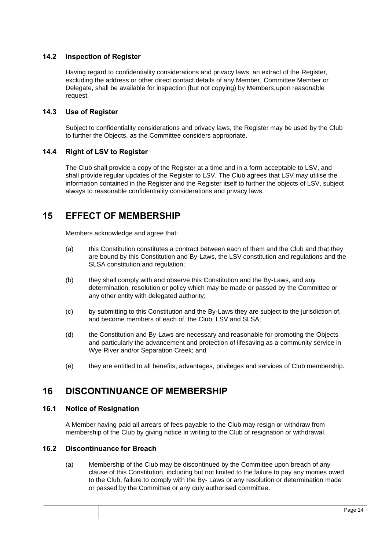### <span id="page-13-0"></span>**14.2 Inspection of Register**

Having regard to confidentiality considerations and privacy laws, an extract of the Register, excluding the address or other direct contact details of any Member, Committee Member or Delegate, shall be available for inspection (but not copying) by Members,upon reasonable request.

### <span id="page-13-1"></span>**14.3 Use of Register**

Subject to confidentiality considerations and privacy laws, the Register may be used by the Club to further the Objects, as the Committee considers appropriate.

### <span id="page-13-2"></span>**14.4 Right of LSV to Register**

The Club shall provide a copy of the Register at a time and in a form acceptable to LSV, and shall provide regular updates of the Register to LSV. The Club agrees that LSV may utilise the information contained in the Register and the Register itself to further the objects of LSV, subject always to reasonable confidentiality considerations and privacy laws.

# <span id="page-13-3"></span>**15 EFFECT OF MEMBERSHIP**

Members acknowledge and agree that:

- (a) this Constitution constitutes a contract between each of them and the Club and that they are bound by this Constitution and By-Laws, the LSV constitution and regulations and the SLSA constitution and regulation;
- (b) they shall comply with and observe this Constitution and the By-Laws, and any determination, resolution or policy which may be made or passed by the Committee or any other entity with delegated authority;
- (c) by submitting to this Constitution and the By-Laws they are subject to the jurisdiction of, and become members of each of, the Club, LSV and SLSA;
- (d) the Constitution and By-Laws are necessary and reasonable for promoting the Objects and particularly the advancement and protection of lifesaving as a community service in Wye River and/or Separation Creek; and
- (e) they are entitled to all benefits, advantages, privileges and services of Club membership.

### <span id="page-13-4"></span>**16 DISCONTINUANCE OF MEMBERSHIP**

### <span id="page-13-5"></span>**16.1 Notice of Resignation**

A Member having paid all arrears of fees payable to the Club may resign or withdraw from membership of the Club by giving notice in writing to the Club of resignation or withdrawal.

### <span id="page-13-7"></span><span id="page-13-6"></span>**16.2 Discontinuance for Breach**

(a) Membership of the Club may be discontinued by the Committee upon breach of any clause of this Constitution, including but not limited to the failure to pay any monies owed to the Club, failure to comply with the By- Laws or any resolution or determination made or passed by the Committee or any duly authorised committee.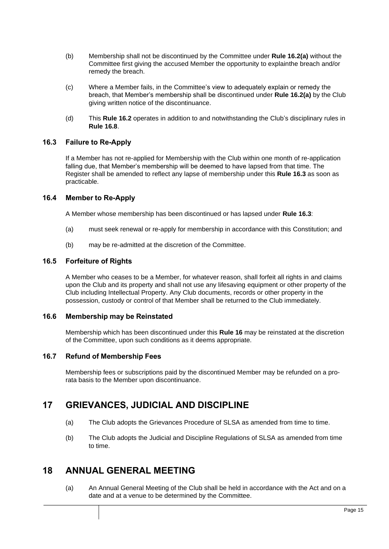- (b) Membership shall not be discontinued by the Committee under **Rule [16.2\(a\)](#page-13-7)** without the Committee first giving the accused Member the opportunity to explainthe breach and/or remedy the breach.
- (c) Where a Member fails, in the Committee's view to adequately explain or remedy the breach, that Member's membership shall be discontinued under **Rule [16.2\(a\)](#page-13-7)** by the Club giving written notice of the discontinuance.
- (d) This **Rule 16.2** operates in addition to and notwithstanding the Club's disciplinary rules in **Rule 16.8**.

### <span id="page-14-0"></span>**16.3 Failure to Re-Apply**

If a Member has not re-applied for Membership with the Club within one month of re-application falling due, that Member's membership will be deemed to have lapsed from that time. The Register shall be amended to reflect any lapse of membership under this **Rule 16.3** as soon as practicable.

### <span id="page-14-1"></span>**16.4 Member to Re-Apply**

A Member whose membership has been discontinued or has lapsed under **Rule 16.3**:

- (a) must seek renewal or re-apply for membership in accordance with this Constitution; and
- (b) may be re-admitted at the discretion of the Committee.

### <span id="page-14-2"></span>**16.5 Forfeiture of Rights**

A Member who ceases to be a Member, for whatever reason, shall forfeit all rights in and claims upon the Club and its property and shall not use any lifesaving equipment or other property of the Club including Intellectual Property. Any Club documents, records or other property in the possession, custody or control of that Member shall be returned to the Club immediately.

### <span id="page-14-3"></span>**16.6 Membership may be Reinstated**

Membership which has been discontinued under this **Rule 16** may be reinstated at the discretion of the Committee, upon such conditions as it deems appropriate.

### <span id="page-14-4"></span>**16.7 Refund of Membership Fees**

Membership fees or subscriptions paid by the discontinued Member may be refunded on a prorata basis to the Member upon discontinuance.

### <span id="page-14-5"></span>**17 GRIEVANCES, JUDICIAL AND DISCIPLINE**

- (a) The Club adopts the Grievances Procedure of SLSA as amended from time to time.
- (b) The Club adopts the Judicial and Discipline Regulations of SLSA as amended from time to time.

### <span id="page-14-6"></span>**18 ANNUAL GENERAL MEETING**

(a) An Annual General Meeting of the Club shall be held in accordance with the Act and on a date and at a venue to be determined by the Committee.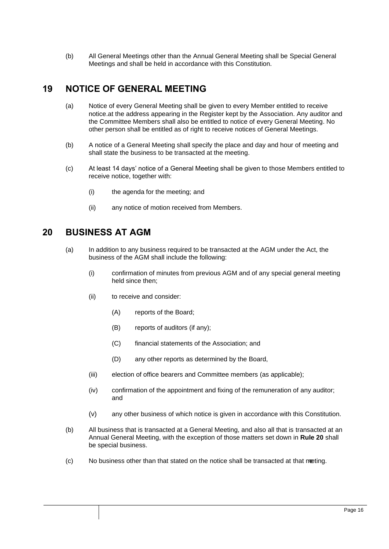(b) All General Meetings other than the Annual General Meeting shall be Special General Meetings and shall be held in accordance with this Constitution.

### <span id="page-15-0"></span>**19 NOTICE OF GENERAL MEETING**

- (a) Notice of every General Meeting shall be given to every Member entitled to receive notice.at the address appearing in the Register kept by the Association. Any auditor and the Committee Members shall also be entitled to notice of every General Meeting. No other person shall be entitled as of right to receive notices of General Meetings.
- (b) A notice of a General Meeting shall specify the place and day and hour of meeting and shall state the business to be transacted at the meeting.
- (c) At least 14 days' notice of a General Meeting shall be given to those Members entitled to receive notice, together with:
	- (i) the agenda for the meeting; and
	- (ii) any notice of motion received from Members.

### <span id="page-15-1"></span>**20 BUSINESS AT AGM**

- (a) In addition to any business required to be transacted at the AGM under the Act, the business of the AGM shall include the following:
	- (i) confirmation of minutes from previous AGM and of any special general meeting held since then;
	- (ii) to receive and consider:
		- (A) reports of the Board;
		- (B) reports of auditors (if any);
		- (C) financial statements of the Association; and
		- (D) any other reports as determined by the Board,
	- (iii) election of office bearers and Committee members (as applicable);
	- (iv) confirmation of the appointment and fixing of the remuneration of any auditor; and
	- (v) any other business of which notice is given in accordance with this Constitution.
- (b) All business that is transacted at a General Meeting, and also all that is transacted at an Annual General Meeting, with the exception of those matters set down in **Rule 20** shall be special business.
- (c) No business other than that stated on the notice shall be transacted at that meeting.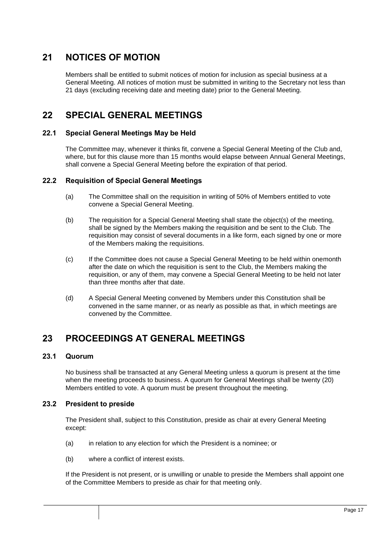# <span id="page-16-0"></span>**21 NOTICES OF MOTION**

Members shall be entitled to submit notices of motion for inclusion as special business at a General Meeting. All notices of motion must be submitted in writing to the Secretary not less than 21 days (excluding receiving date and meeting date) prior to the General Meeting.

### <span id="page-16-1"></span>**22 SPECIAL GENERAL MEETINGS**

### <span id="page-16-2"></span>**22.1 Special General Meetings May be Held**

The Committee may, whenever it thinks fit, convene a Special General Meeting of the Club and, where, but for this clause more than 15 months would elapse between Annual General Meetings, shall convene a Special General Meeting before the expiration of that period.

### <span id="page-16-3"></span>**22.2 Requisition of Special General Meetings**

- (a) The Committee shall on the requisition in writing of 50% of Members entitled to vote convene a Special General Meeting.
- (b) The requisition for a Special General Meeting shall state the object(s) of the meeting, shall be signed by the Members making the requisition and be sent to the Club. The requisition may consist of several documents in a like form, each signed by one or more of the Members making the requisitions.
- (c) If the Committee does not cause a Special General Meeting to be held within onemonth after the date on which the requisition is sent to the Club, the Members making the requisition, or any of them, may convene a Special General Meeting to be held not later than three months after that date.
- (d) A Special General Meeting convened by Members under this Constitution shall be convened in the same manner, or as nearly as possible as that, in which meetings are convened by the Committee.

# <span id="page-16-4"></span>**23 PROCEEDINGS AT GENERAL MEETINGS**

### <span id="page-16-5"></span>**23.1 Quorum**

No business shall be transacted at any General Meeting unless a quorum is present at the time when the meeting proceeds to business. A quorum for General Meetings shall be twenty (20) Members entitled to vote. A quorum must be present throughout the meeting.

### <span id="page-16-6"></span>**23.2 President to preside**

The President shall, subject to this Constitution, preside as chair at every General Meeting except:

- (a) in relation to any election for which the President is a nominee; or
- (b) where a conflict of interest exists.

If the President is not present, or is unwilling or unable to preside the Members shall appoint one of the Committee Members to preside as chair for that meeting only.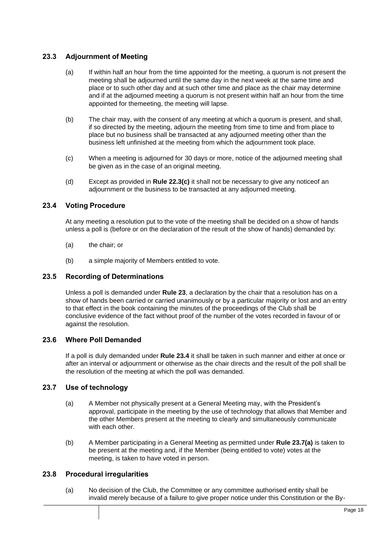### <span id="page-17-0"></span>**23.3 Adjournment of Meeting**

- (a) If within half an hour from the time appointed for the meeting, a quorum is not present the meeting shall be adjourned until the same day in the next week at the same time and place or to such other day and at such other time and place as the chair may determine and if at the adjourned meeting a quorum is not present within half an hour from the time appointed for themeeting, the meeting will lapse.
- (b) The chair may, with the consent of any meeting at which a quorum is present, and shall, if so directed by the meeting, adjourn the meeting from time to time and from place to place but no business shall be transacted at any adjourned meeting other than the business left unfinished at the meeting from which the adjournment took place.
- <span id="page-17-6"></span>(c) When a meeting is adjourned for 30 days or more, notice of the adjourned meeting shall be given as in the case of an original meeting.
- (d) Except as provided in **Rul[e 22.3\(c\)](#page-17-6)** it shall not be necessary to give any noticeof an adjournment or the business to be transacted at any adjourned meeting.

### <span id="page-17-1"></span>**23.4 Voting Procedure**

At any meeting a resolution put to the vote of the meeting shall be decided on a show of hands unless a poll is (before or on the declaration of the result of the show of hands) demanded by:

- (a) the chair; or
- (b) a simple majority of Members entitled to vote.

### <span id="page-17-2"></span>**23.5 Recording of Determinations**

Unless a poll is demanded under **Rule [23](#page-16-4)**, a declaration by the chair that a resolution has on a show of hands been carried or carried unanimously or by a particular majority or lost and an entry to that effect in the book containing the minutes of the proceedings of the Club shall be conclusive evidence of the fact without proof of the number of the votes recorded in favour of or against the resolution.

### <span id="page-17-3"></span>**23.6 Where Poll Demanded**

If a poll is duly demanded under **Rule [23.4](#page-17-1)** it shall be taken in such manner and either at once or after an interval or adjournment or otherwise as the chair directs and the result of the poll shall be the resolution of the meeting at which the poll was demanded.

### <span id="page-17-4"></span>**23.7 Use of technology**

- (a) A Member not physically present at a General Meeting may, with the President's approval, participate in the meeting by the use of technology that allows that Member and the other Members present at the meeting to clearly and simultaneously communicate with each other.
- (b) A Member participating in a General Meeting as permitted under **Rule 23.7(a)** is taken to be present at the meeting and, if the Member (being entitled to vote) votes at the meeting, is taken to have voted in person.

### <span id="page-17-5"></span>**23.8 Procedural irregularities**

(a) No decision of the Club, the Committee or any committee authorised entity shall be invalid merely because of a failure to give proper notice under this Constitution or the By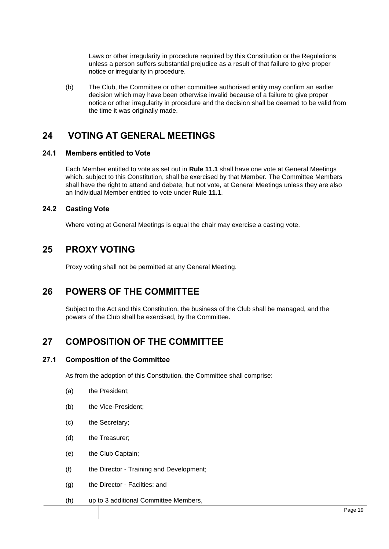Laws or other irregularity in procedure required by this Constitution or the Regulations unless a person suffers substantial prejudice as a result of that failure to give proper notice or irregularity in procedure.

(b) The Club, the Committee or other committee authorised entity may confirm an earlier decision which may have been otherwise invalid because of a failure to give proper notice or other irregularity in procedure and the decision shall be deemed to be valid from the time it was originally made.

# <span id="page-18-0"></span>**24 VOTING AT GENERAL MEETINGS**

### <span id="page-18-1"></span>**24.1 Members entitled to Vote**

Each Member entitled to vote as set out in **Rule 11.1** shall have one vote at General Meetings which, subject to this Constitution, shall be exercised by that Member. The Committee Members shall have the right to attend and debate, but not vote, at General Meetings unless they are also an Individual Member entitled to vote under **Rule 11.1**.

### <span id="page-18-2"></span>**24.2 Casting Vote**

Where voting at General Meetings is equal the chair may exercise a casting vote.

### <span id="page-18-3"></span>**25 PROXY VOTING**

Proxy voting shall not be permitted at any General Meeting.

### <span id="page-18-4"></span>**26 POWERS OF THE COMMITTEE**

Subject to the Act and this Constitution, the business of the Club shall be managed, and the powers of the Club shall be exercised, by the Committee.

# <span id="page-18-5"></span>**27 COMPOSITION OF THE COMMITTEE**

### <span id="page-18-6"></span>**27.1 Composition of the Committee**

As from the adoption of this Constitution, the Committee shall comprise:

- (a) the President;
- (b) the Vice-President;
- (c) the Secretary;
- (d) the Treasurer;
- (e) the Club Captain;
- (f) the Director Training and Development;
- (g) the Director Facilties; and
- (h) up to 3 additional Committee Members,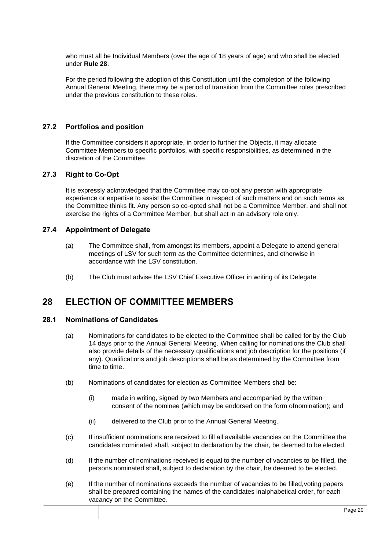who must all be Individual Members (over the age of 18 years of age) and who shall be elected under **Rule 28**.

For the period following the adoption of this Constitution until the completion of the following Annual General Meeting, there may be a period of transition from the Committee roles prescribed under the previous constitution to these roles.

### <span id="page-19-0"></span>**27.2 Portfolios and position**

If the Committee considers it appropriate, in order to further the Objects, it may allocate Committee Members to specific portfolios, with specific responsibilities, as determined in the discretion of the Committee.

### <span id="page-19-1"></span>**27.3 Right to Co-Opt**

It is expressly acknowledged that the Committee may co-opt any person with appropriate experience or expertise to assist the Committee in respect of such matters and on such terms as the Committee thinks fit. Any person so co-opted shall not be a Committee Member, and shall not exercise the rights of a Committee Member, but shall act in an advisory role only.

#### <span id="page-19-2"></span>**27.4 Appointment of Delegate**

- (a) The Committee shall, from amongst its members, appoint a Delegate to attend general meetings of LSV for such term as the Committee determines, and otherwise in accordance with the LSV constitution.
- (b) The Club must advise the LSV Chief Executive Officer in writing of its Delegate.

# <span id="page-19-3"></span>**28 ELECTION OF COMMITTEE MEMBERS**

#### <span id="page-19-4"></span>**28.1 Nominations of Candidates**

- (a) Nominations for candidates to be elected to the Committee shall be called for by the Club 14 days prior to the Annual General Meeting. When calling for nominations the Club shall also provide details of the necessary qualifications and job description for the positions (if any). Qualifications and job descriptions shall be as determined by the Committee from time to time.
- (b) Nominations of candidates for election as Committee Members shall be:
	- (i) made in writing, signed by two Members and accompanied by the written consent of the nominee (which may be endorsed on the form ofnomination); and
	- (ii) delivered to the Club prior to the Annual General Meeting.
- (c) If insufficient nominations are received to fill all available vacancies on the Committee the candidates nominated shall, subject to declaration by the chair, be deemed to be elected.
- (d) If the number of nominations received is equal to the number of vacancies to be filled, the persons nominated shall, subject to declaration by the chair, be deemed to be elected.
- (e) If the number of nominations exceeds the number of vacancies to be filled,voting papers shall be prepared containing the names of the candidates inalphabetical order, for each vacancy on the Committee.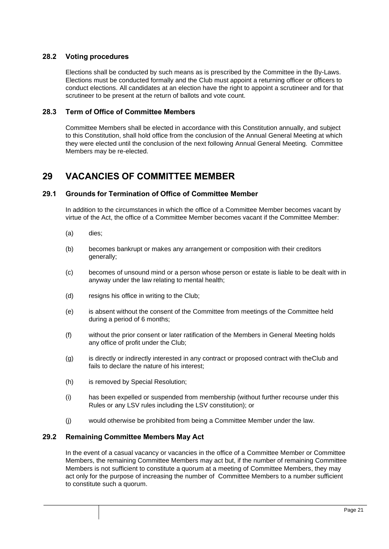### <span id="page-20-0"></span>**28.2 Voting procedures**

Elections shall be conducted by such means as is prescribed by the Committee in the By-Laws. Elections must be conducted formally and the Club must appoint a returning officer or officers to conduct elections. All candidates at an election have the right to appoint a scrutineer and for that scrutineer to be present at the return of ballots and vote count.

### <span id="page-20-1"></span>**28.3 Term of Office of Committee Members**

Committee Members shall be elected in accordance with this Constitution annually, and subject to this Constitution, shall hold office from the conclusion of the Annual General Meeting at which they were elected until the conclusion of the next following Annual General Meeting. Committee Members may be re-elected.

### <span id="page-20-2"></span>**29 VACANCIES OF COMMITTEE MEMBER**

### <span id="page-20-3"></span>**29.1 Grounds for Termination of Office of Committee Member**

In addition to the circumstances in which the office of a Committee Member becomes vacant by virtue of the Act, the office of a Committee Member becomes vacant if the Committee Member:

- (a) dies;
- (b) becomes bankrupt or makes any arrangement or composition with their creditors generally;
- (c) becomes of unsound mind or a person whose person or estate is liable to be dealt with in anyway under the law relating to mental health;
- (d) resigns his office in writing to the Club;
- (e) is absent without the consent of the Committee from meetings of the Committee held during a period of 6 months;
- (f) without the prior consent or later ratification of the Members in General Meeting holds any office of profit under the Club;
- (g) is directly or indirectly interested in any contract or proposed contract with theClub and fails to declare the nature of his interest;
- (h) is removed by Special Resolution;
- (i) has been expelled or suspended from membership (without further recourse under this Rules or any LSV rules including the LSV constitution); or
- (j) would otherwise be prohibited from being a Committee Member under the law.

### <span id="page-20-4"></span>**29.2 Remaining Committee Members May Act**

In the event of a casual vacancy or vacancies in the office of a Committee Member or Committee Members, the remaining Committee Members may act but, if the number of remaining Committee Members is not sufficient to constitute a quorum at a meeting of Committee Members, they may act only for the purpose of increasing the number of Committee Members to a number sufficient to constitute such a quorum.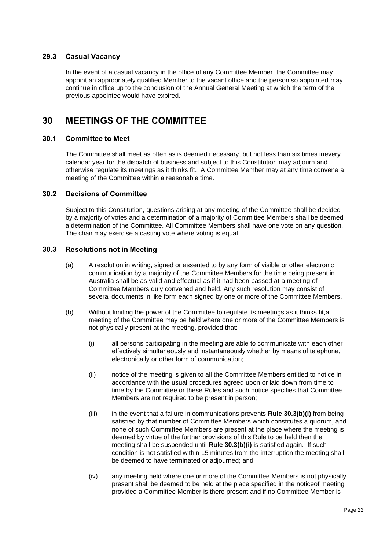### <span id="page-21-0"></span>**29.3 Casual Vacancy**

In the event of a casual vacancy in the office of any Committee Member, the Committee may appoint an appropriately qualified Member to the vacant office and the person so appointed may continue in office up to the conclusion of the Annual General Meeting at which the term of the previous appointee would have expired.

# <span id="page-21-1"></span>**30 MEETINGS OF THE COMMITTEE**

### <span id="page-21-2"></span>**30.1 Committee to Meet**

The Committee shall meet as often as is deemed necessary, but not less than six times inevery calendar year for the dispatch of business and subject to this Constitution may adjourn and otherwise regulate its meetings as it thinks fit. A Committee Member may at any time convene a meeting of the Committee within a reasonable time.

### <span id="page-21-3"></span>**30.2 Decisions of Committee**

Subject to this Constitution, questions arising at any meeting of the Committee shall be decided by a majority of votes and a determination of a majority of Committee Members shall be deemed a determination of the Committee. All Committee Members shall have one vote on any question. The chair may exercise a casting vote where voting is equal.

### <span id="page-21-4"></span>**30.3 Resolutions not in Meeting**

- (a) A resolution in writing, signed or assented to by any form of visible or other electronic communication by a majority of the Committee Members for the time being present in Australia shall be as valid and effectual as if it had been passed at a meeting of Committee Members duly convened and held. Any such resolution may consist of several documents in like form each signed by one or more of the Committee Members.
- <span id="page-21-5"></span>(b) Without limiting the power of the Committee to regulate its meetings as it thinks fit,a meeting of the Committee may be held where one or more of the Committee Members is not physically present at the meeting, provided that:
	- (i) all persons participating in the meeting are able to communicate with each other effectively simultaneously and instantaneously whether by means of telephone, electronically or other form of communication;
	- (ii) notice of the meeting is given to all the Committee Members entitled to notice in accordance with the usual procedures agreed upon or laid down from time to time by the Committee or these Rules and such notice specifies that Committee Members are not required to be present in person;
	- (iii) in the event that a failure in communications prevents **Rule [30.3\(b\)\(i\)](#page-21-5)** from being satisfied by that number of Committee Members which constitutes a quorum, and none of such Committee Members are present at the place where the meeting is deemed by virtue of the further provisions of this Rule to be held then the meeting shall be suspended until **Rule [30.3\(b\)\(i\)](#page-21-5)** is satisfied again. If such condition is not satisfied within 15 minutes from the interruption the meeting shall be deemed to have terminated or adjourned; and
	- (iv) any meeting held where one or more of the Committee Members is not physically present shall be deemed to be held at the place specified in the noticeof meeting provided a Committee Member is there present and if no Committee Member is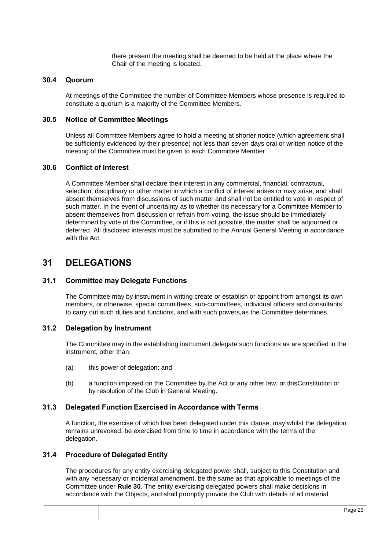there present the meeting shall be deemed to be held at the place where the Chair of the meeting is located.

#### <span id="page-22-0"></span>**30.4 Quorum**

At meetings of the Committee the number of Committee Members whose presence is required to constitute a quorum is a majority of the Committee Members.

### <span id="page-22-1"></span>**30.5 Notice of Committee Meetings**

Unless all Committee Members agree to hold a meeting at shorter notice (which agreement shall be sufficiently evidenced by their presence) not less than seven days oral or written notice of the meeting of the Committee must be given to each Committee Member.

### <span id="page-22-2"></span>**30.6 Conflict of Interest**

A Committee Member shall declare their interest in any commercial, financial, contractual, selection, disciplinary or other matter in which a conflict of interest arises or may arise, and shall absent themselves from discussions of such matter and shall not be entitled to vote in respect of such matter. In the event of uncertainty as to whether itis necessary for a Committee Member to absent themselves from discussion or refrain from voting, the issue should be immediately determined by vote of the Committee, or if this is not possible, the matter shall be adjourned or deferred. All disclosed interests must be submitted to the Annual General Meeting in accordance with the Act.

### <span id="page-22-3"></span>**31 DELEGATIONS**

### <span id="page-22-4"></span>**31.1 Committee may Delegate Functions**

The Committee may by instrument in writing create or establish or appoint from amongst its own members, or otherwise, special committees, sub-committees, individual officers and consultants to carry out such duties and functions, and with such powers,as the Committee determines.

### <span id="page-22-5"></span>**31.2 Delegation by Instrument**

The Committee may in the establishing instrument delegate such functions as are specified in the instrument, other than:

- (a) this power of delegation; and
- (b) a function imposed on the Committee by the Act or any other law, or thisConstitution or by resolution of the Club in General Meeting.

#### <span id="page-22-6"></span>**31.3 Delegated Function Exercised in Accordance with Terms**

A function, the exercise of which has been delegated under this clause, may whilst the delegation remains unrevoked, be exercised from time to time in accordance with the terms of the delegation.

#### <span id="page-22-7"></span>**31.4 Procedure of Delegated Entity**

The procedures for any entity exercising delegated power shall, subject to this Constitution and with any necessary or incidental amendment, be the same as that applicable to meetings of the Committee under **Rule 30**. The entity exercising delegated powers shall make decisions in accordance with the Objects, and shall promptly provide the Club with details of all material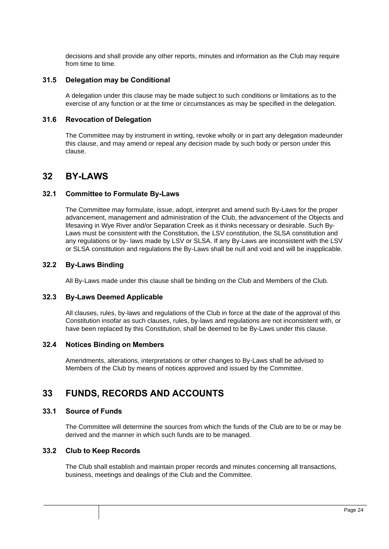decisions and shall provide any other reports, minutes and information as the Club may require from time to time.

#### <span id="page-23-0"></span>**31.5 Delegation may be Conditional**

A delegation under this clause may be made subject to such conditions or limitations as to the exercise of any function or at the time or circumstances as may be specified in the delegation.

### <span id="page-23-1"></span>**31.6 Revocation of Delegation**

The Committee may by instrument in writing, revoke wholly or in part any delegation madeunder this clause, and may amend or repeal any decision made by such body or person under this clause.

### <span id="page-23-2"></span>**32 BY-LAWS**

### <span id="page-23-3"></span>**32.1 Committee to Formulate By-Laws**

The Committee may formulate, issue, adopt, interpret and amend such By-Laws for the proper advancement, management and administration of the Club, the advancement of the Objects and lifesaving in Wye River and/or Separation Creek as it thinks necessary or desirable. Such By-Laws must be consistent with the Constitution, the LSV constitution, the SLSA constitution and any regulations or by- laws made by LSV or SLSA. If any By-Laws are inconsistent with the LSV or SLSA constitution and regulations the By-Laws shall be null and void and will be inapplicable.

### <span id="page-23-4"></span>**32.2 By-Laws Binding**

All By-Laws made under this clause shall be binding on the Club and Members of the Club.

#### <span id="page-23-5"></span>**32.3 By-Laws Deemed Applicable**

All clauses, rules, by-laws and regulations of the Club in force at the date of the approval of this Constitution insofar as such clauses, rules, by-laws and regulations are not inconsistent with, or have been replaced by this Constitution, shall be deemed to be By-Laws under this clause.

#### <span id="page-23-6"></span>**32.4 Notices Binding on Members**

Amendments, alterations, interpretations or other changes to By-Laws shall be advised to Members of the Club by means of notices approved and issued by the Committee.

### <span id="page-23-7"></span>**33 FUNDS, RECORDS AND ACCOUNTS**

### <span id="page-23-8"></span>**33.1 Source of Funds**

The Committee will determine the sources from which the funds of the Club are to be or may be derived and the manner in which such funds are to be managed.

### <span id="page-23-9"></span>**33.2 Club to Keep Records**

The Club shall establish and maintain proper records and minutes concerning all transactions, business, meetings and dealings of the Club and the Committee.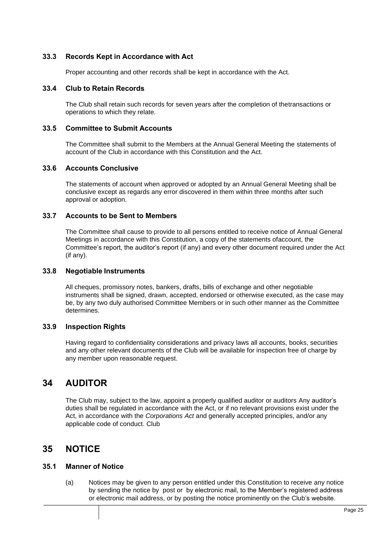### <span id="page-24-0"></span>**33.3 Records Kept in Accordance with Act**

Proper accounting and other records shall be kept in accordance with the Act.

### <span id="page-24-1"></span>**33.4 Club to Retain Records**

The Club shall retain such records for seven years after the completion of thetransactions or operations to which they relate.

### <span id="page-24-2"></span>**33.5 Committee to Submit Accounts**

The Committee shall submit to the Members at the Annual General Meeting the statements of account of the Club in accordance with this Constitution and the Act.

### <span id="page-24-3"></span>**33.6 Accounts Conclusive**

The statements of account when approved or adopted by an Annual General Meeting shall be conclusive except as regards any error discovered in them within three months after such approval or adoption.

### <span id="page-24-4"></span>**33.7 Accounts to be Sent to Members**

The Committee shall cause to provide to all persons entitled to receive notice of Annual General Meetings in accordance with this Constitution, a copy of the statements ofaccount, the Committee's report, the auditor's report (if any) and every other document required under the Act (if any).

### <span id="page-24-5"></span>**33.8 Negotiable Instruments**

All cheques, promissory notes, bankers, drafts, bills of exchange and other negotiable instruments shall be signed, drawn, accepted, endorsed or otherwise executed, as the case may be, by any two duly authorised Committee Members or in such other manner as the Committee determines.

### <span id="page-24-6"></span>**33.9 Inspection Rights**

Having regard to confidentiality considerations and privacy laws all accounts, books, securities and any other relevant documents of the Club will be available for inspection free of charge by any member upon reasonable request.

# <span id="page-24-7"></span>**34 AUDITOR**

The Club may, subject to the law, appoint a properly qualified auditor or auditors Any auditor's duties shall be regulated in accordance with the Act, or if no relevant provisions exist under the Act, in accordance with the *Corporations Act* and generally accepted principles, and/or any applicable code of conduct. Club

### <span id="page-24-8"></span>**35 NOTICE**

### <span id="page-24-9"></span>**35.1 Manner of Notice**

(a) Notices may be given to any person entitled under this Constitution to receive any notice by sending the notice by post or by electronic mail, to the Member's registered address or electronic mail address, or by posting the notice prominently on the Club's website.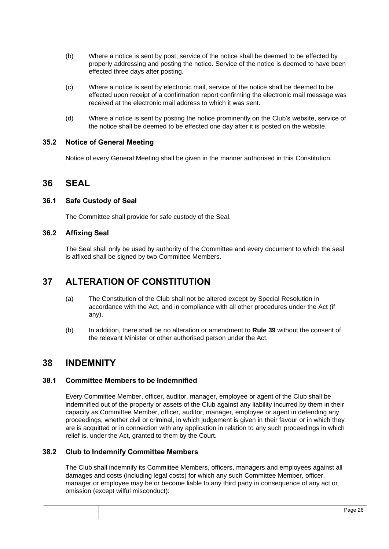- (b) Where a notice is sent by post, service of the notice shall be deemed to be effected by properly addressing and posting the notice. Service of the notice is deemed to have been effected three days after posting.
- (c) Where a notice is sent by electronic mail, service of the notice shall be deemed to be effected upon receipt of a confirmation report confirming the electronic mail message was received at the electronic mail address to which it was sent.
- (d) Where a notice is sent by posting the notice prominently on the Club's website, service of the notice shall be deemed to be effected one day after it is posted on the website.

### <span id="page-25-0"></span>**35.2 Notice of General Meeting**

Notice of every General Meeting shall be given in the manner authorised in this Constitution.

### <span id="page-25-1"></span>**36 SEAL**

### <span id="page-25-2"></span>**36.1 Safe Custody of Seal**

The Committee shall provide for safe custody of the Seal.

### <span id="page-25-3"></span>**36.2 Affixing Seal**

The Seal shall only be used by authority of the Committee and every document to which the seal is affixed shall be signed by two Committee Members.

### <span id="page-25-4"></span>**37 ALTERATION OF CONSTITUTION**

- (a) The Constitution of the Club shall not be altered except by Special Resolution in accordance with the Act, and in compliance with all other procedures under the Act (if any).
- (b) In addition, there shall be no alteration or amendment to **Rule 39** without the consent of the relevant Minister or other authorised person under the Act.

### <span id="page-25-5"></span>**38 INDEMNITY**

### <span id="page-25-6"></span>**38.1 Committee Members to be Indemnified**

Every Committee Member, officer, auditor, manager, employee or agent of the Club shall be indemnified out of the property or assets of the Club against any liability incurred by them in their capacity as Committee Member, officer, auditor, manager, employee or agent in defending any proceedings, whether civil or criminal, in which judgement is given in their favour or in which they are is acquitted or in connection with any application in relation to any such proceedings in which relief is, under the Act, granted to them by the Court.

### <span id="page-25-7"></span>**38.2 Club to Indemnify Committee Members**

The Club shall indemnify its Committee Members, officers, managers and employees against all damages and costs (including legal costs) for which any such Committee Member, officer, manager or employee may be or become liable to any third party in consequence of any act or omission (except wilful misconduct):